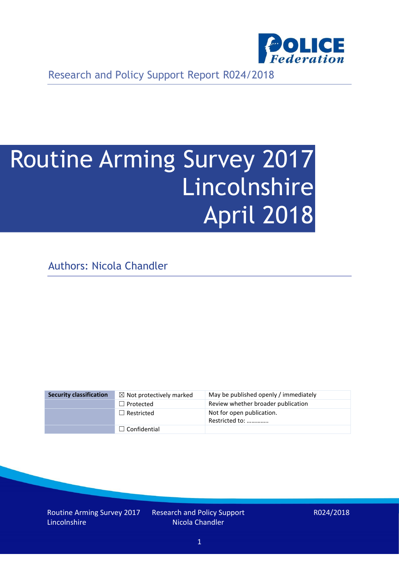

Research and Policy Support Report R024/2018

# Routine Arming Survey 2017 Lincolnshire April 2018

Authors: Nicola Chandler

| <b>Security classification</b> | $\boxtimes$ Not protectively marked | May be published openly / immediately       |
|--------------------------------|-------------------------------------|---------------------------------------------|
|                                | $\Box$ Protected                    | Review whether broader publication          |
|                                | $\Box$ Restricted                   | Not for open publication.<br>Restricted to: |
|                                | $\Box$ Confidential                 |                                             |

Routine Arming Survey 2017 Lincolnshire

Research and Policy Support Nicola Chandler

R024/2018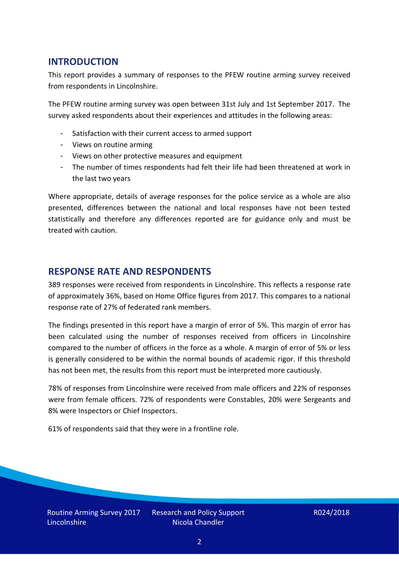## **INTRODUCTION**

This report provides a summary of responses to the PFEW routine arming survey received from respondents in Lincolnshire.

The PFEW routine arming survey was open between 31st July and 1st September 2017. The survey asked respondents about their experiences and attitudes in the following areas:

- Satisfaction with their current access to armed support
- Views on routine arming
- Views on other protective measures and equipment
- The number of times respondents had felt their life had been threatened at work in the last two years

Where appropriate, details of average responses for the police service as a whole are also presented, differences between the national and local responses have not been tested statistically and therefore any differences reported are for guidance only and must be treated with caution.

### **RESPONSE RATE AND RESPONDENTS**

389 responses were received from respondents in Lincolnshire. This reflects a response rate of approximately 36%, based on Home Office figures from 2017. This compares to a national response rate of 27% of federated rank members.

The findings presented in this report have a margin of error of 5%. This margin of error has been calculated using the number of responses received from officers in Lincolnshire compared to the number of officers in the force as a whole. A margin of error of 5% or less is generally considered to be within the normal bounds of academic rigor. If this threshold has not been met, the results from this report must be interpreted more cautiously.

78% of responses from Lincolnshire were received from male officers and 22% of responses were from female officers. 72% of respondents were Constables, 20% were Sergeants and 8% were Inspectors or Chief Inspectors.

61% of respondents said that they were in a frontline role.

Routine Arming Survey 2017 **Lincolnshire** 

Research and Policy Support Nicola Chandler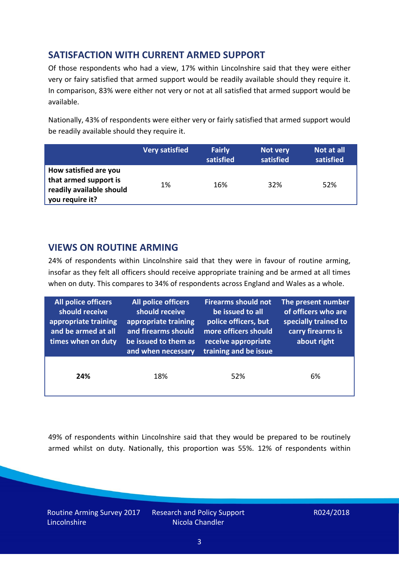## **SATISFACTION WITH CURRENT ARMED SUPPORT**

Of those respondents who had a view, 17% within Lincolnshire said that they were either very or fairy satisfied that armed support would be readily available should they require it. In comparison, 83% were either not very or not at all satisfied that armed support would be available.

Nationally, 43% of respondents were either very or fairly satisfied that armed support would be readily available should they require it.

|                                                                                               | <b>Very satisfied</b> | <b>Fairly</b><br>satisfied | Not very<br>satisfied | Not at all<br>satisfied |
|-----------------------------------------------------------------------------------------------|-----------------------|----------------------------|-----------------------|-------------------------|
| How satisfied are you<br>that armed support is<br>readily available should<br>you require it? | 1%                    | 16%                        | 32%                   | 52%                     |

## **VIEWS ON ROUTINE ARMING**

24% of respondents within Lincolnshire said that they were in favour of routine arming, insofar as they felt all officers should receive appropriate training and be armed at all times when on duty. This compares to 34% of respondents across England and Wales as a whole.

| <b>All police officers</b><br>should receive<br>appropriate training<br>and be armed at all<br>times when on duty | All police officers<br>should receive<br>appropriate training<br>and firearms should<br>be issued to them as<br>and when necessary | <b>Firearms should not</b><br>be issued to all<br>police officers, but<br>more officers should<br>receive appropriate<br>training and be issue | The present number<br>of officers who are<br>specially trained to<br>carry firearms is<br>about right |  |
|-------------------------------------------------------------------------------------------------------------------|------------------------------------------------------------------------------------------------------------------------------------|------------------------------------------------------------------------------------------------------------------------------------------------|-------------------------------------------------------------------------------------------------------|--|
| 24%                                                                                                               | 18%                                                                                                                                | 52%                                                                                                                                            | 6%                                                                                                    |  |

49% of respondents within Lincolnshire said that they would be prepared to be routinely armed whilst on duty. Nationally, this proportion was 55%. 12% of respondents within

Routine Arming Survey 2017 **Lincolnshire** 

Research and Policy Support Nicola Chandler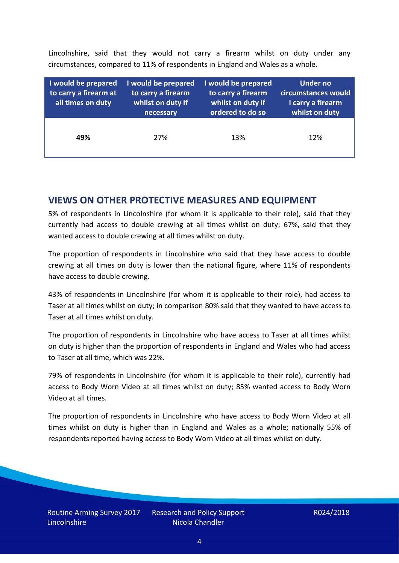Lincolnshire, said that they would not carry a firearm whilst on duty under any circumstances, compared to 11% of respondents in England and Wales as a whole.

| I would be prepared<br>to carry a firearm at<br>all times on duty | I would be prepared<br>to carry a firearm<br>whilst on duty if<br>necessary | I would be prepared<br>to carry a firearm<br>whilst on duty if<br>ordered to do so | Under no<br>circumstances would<br>I carry a firearm<br>whilst on duty |
|-------------------------------------------------------------------|-----------------------------------------------------------------------------|------------------------------------------------------------------------------------|------------------------------------------------------------------------|
| 49%                                                               | 27%                                                                         | 13%                                                                                | 12%                                                                    |

#### **VIEWS ON OTHER PROTECTIVE MEASURES AND EQUIPMENT**

5% of respondents in Lincolnshire (for whom it is applicable to their role), said that they currently had access to double crewing at all times whilst on duty; 67%, said that they wanted access to double crewing at all times whilst on duty.

The proportion of respondents in Lincolnshire who said that they have access to double crewing at all times on duty is lower than the national figure, where 11% of respondents have access to double crewing.

43% of respondents in Lincolnshire (for whom it is applicable to their role), had access to Taser at all times whilst on duty; in comparison 80% said that they wanted to have access to Taser at all times whilst on duty.

The proportion of respondents in Lincolnshire who have access to Taser at all times whilst on duty is higher than the proportion of respondents in England and Wales who had access to Taser at all time, which was 22%.

79% of respondents in Lincolnshire (for whom it is applicable to their role), currently had access to Body Worn Video at all times whilst on duty; 85% wanted access to Body Worn Video at all times.

The proportion of respondents in Lincolnshire who have access to Body Worn Video at all times whilst on duty is higher than in England and Wales as a whole; nationally 55% of respondents reported having access to Body Worn Video at all times whilst on duty.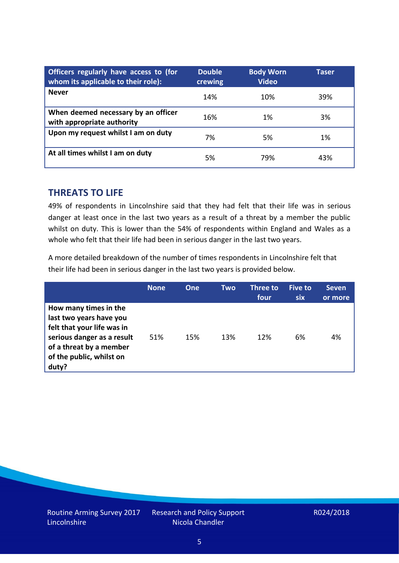| Officers regularly have access to (for<br>whom its applicable to their role): | <b>Double</b><br>crewing | <b>Body Worn</b><br><b>Video</b> | Taser |
|-------------------------------------------------------------------------------|--------------------------|----------------------------------|-------|
| <b>Never</b>                                                                  | 14%                      | 10%                              | 39%   |
| When deemed necessary by an officer<br>with appropriate authority             | 16%                      | 1%                               | 3%    |
| Upon my request whilst I am on duty                                           | 7%                       | 5%                               | 1%    |
| At all times whilst I am on duty                                              | 5%                       | 79%                              | 43%   |

#### **THREATS TO LIFE**

49% of respondents in Lincolnshire said that they had felt that their life was in serious danger at least once in the last two years as a result of a threat by a member the public whilst on duty. This is lower than the 54% of respondents within England and Wales as a whole who felt that their life had been in serious danger in the last two years.

A more detailed breakdown of the number of times respondents in Lincolnshire felt that their life had been in serious danger in the last two years is provided below.

|                                                                                                                                                                              | <b>None</b> | One | Two | Three to<br>four | <b>Five to</b><br><b>six</b> | <b>Seven</b><br>or more |
|------------------------------------------------------------------------------------------------------------------------------------------------------------------------------|-------------|-----|-----|------------------|------------------------------|-------------------------|
| How many times in the<br>last two years have you<br>felt that your life was in<br>serious danger as a result<br>of a threat by a member<br>of the public, whilst on<br>duty? | 51%         | 15% | 13% | 12%              | 6%                           | 4%                      |

Research and Policy Support Nicola Chandler